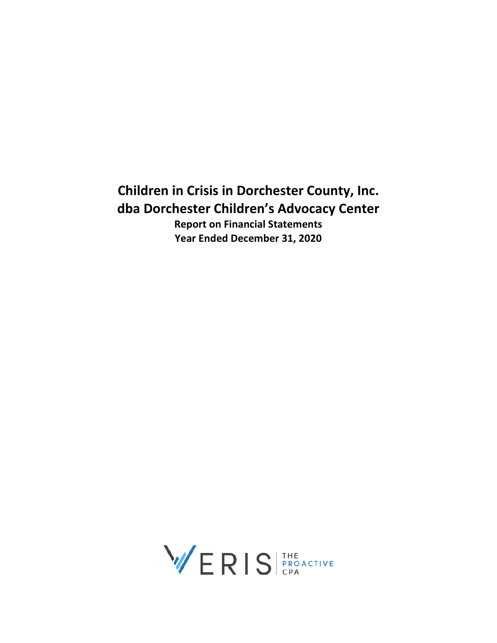# **Children in Crisis in Dorchester County, Inc. dba Dorchester Children's Advocacy Center**

**Report on Financial Statements Year Ended December 31, 2020**

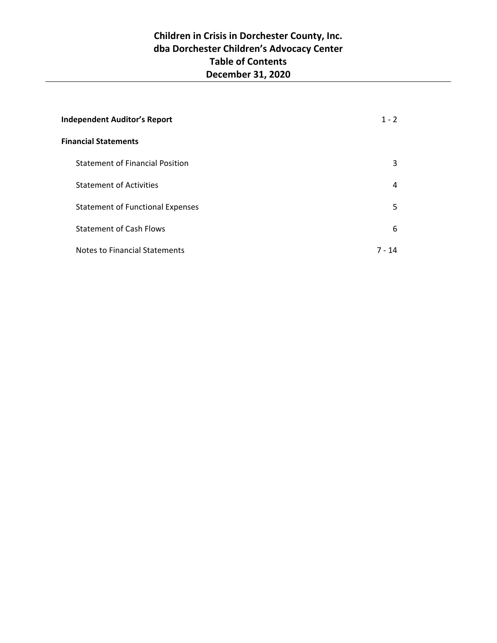| <b>Independent Auditor's Report</b>     | $1 - 2$ |
|-----------------------------------------|---------|
| <b>Financial Statements</b>             |         |
| <b>Statement of Financial Position</b>  | 3       |
| <b>Statement of Activities</b>          | 4       |
| <b>Statement of Functional Expenses</b> | 5       |
| <b>Statement of Cash Flows</b>          | 6       |
| Notes to Financial Statements           | 7 - 14  |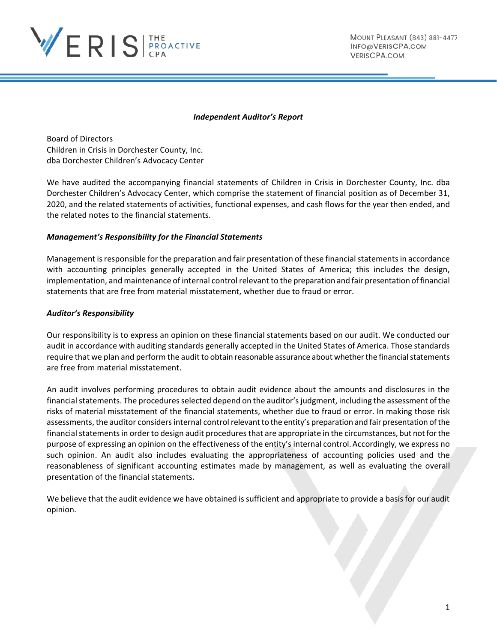

#### *Independent Auditor's Report*

Board of Directors Children in Crisis in Dorchester County, Inc. dba Dorchester Children's Advocacy Center

We have audited the accompanying financial statements of Children in Crisis in Dorchester County, Inc. dba Dorchester Children's Advocacy Center, which comprise the statement of financial position as of December 31, 2020, and the related statements of activities, functional expenses, and cash flows for the year then ended, and the related notes to the financial statements.

#### *Management's Responsibility for the Financial Statements*

Management is responsible for the preparation and fair presentation of these financial statements in accordance with accounting principles generally accepted in the United States of America; this includes the design, implementation, and maintenance of internal control relevant to the preparation and fair presentation of financial statements that are free from material misstatement, whether due to fraud or error.

#### *Auditor's Responsibility*

Our responsibility is to express an opinion on these financial statements based on our audit. We conducted our audit in accordance with auditing standards generally accepted in the United States of America. Those standards require that we plan and perform the audit to obtain reasonable assurance about whether the financial statements are free from material misstatement.

An audit involves performing procedures to obtain audit evidence about the amounts and disclosures in the financial statements. The procedures selected depend on the auditor's judgment, including the assessment of the risks of material misstatement of the financial statements, whether due to fraud or error. In making those risk assessments, the auditor considers internal control relevant to the entity's preparation and fair presentation of the financial statements in order to design audit procedures that are appropriate in the circumstances, but not for the purpose of expressing an opinion on the effectiveness of the entity's internal control.Accordingly, we express no such opinion. An audit also includes evaluating the appropriateness of accounting policies used and the reasonableness of significant accounting estimates made by management, as well as evaluating the overall presentation of the financial statements.

We believe that the audit evidence we have obtained is sufficient and appropriate to provide a basis for our audit opinion.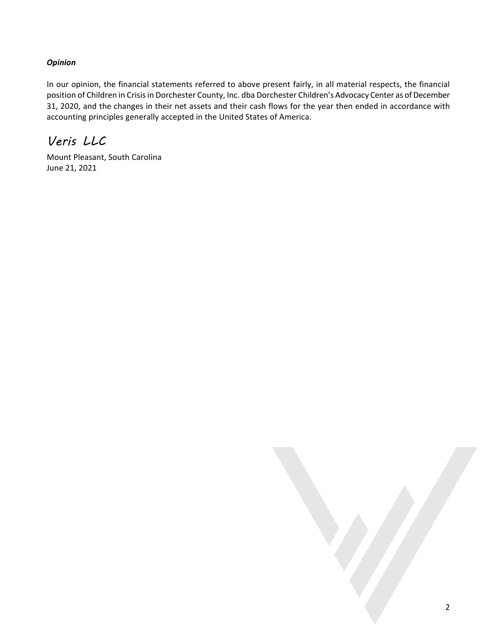# *Opinion*

In our opinion, the financial statements referred to above present fairly, in all material respects, the financial position of Children in Crisis in Dorchester County, Inc. dba Dorchester Children's Advocacy Center as of December 31, 2020, and the changes in their net assets and their cash flows for the year then ended in accordance with accounting principles generally accepted in the United States of America.

*Veris LLC*

Mount Pleasant, South Carolina June 21, 2021

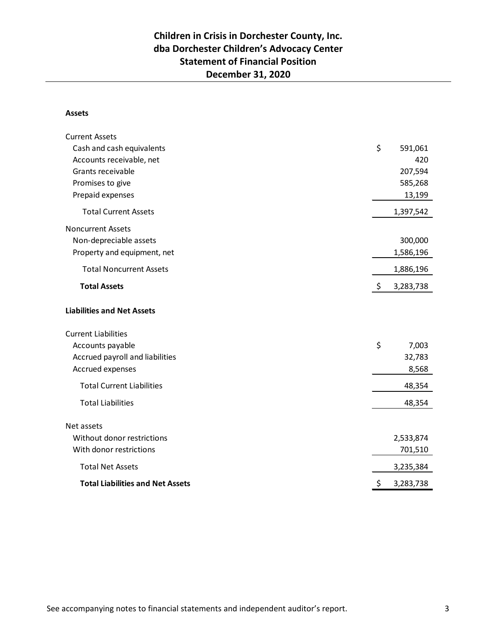#### **Assets**

| <b>Current Assets</b>                   |                 |
|-----------------------------------------|-----------------|
| Cash and cash equivalents               | \$<br>591,061   |
| Accounts receivable, net                | 420             |
| Grants receivable                       | 207,594         |
| Promises to give                        | 585,268         |
| Prepaid expenses                        | 13,199          |
| <b>Total Current Assets</b>             | 1,397,542       |
| <b>Noncurrent Assets</b>                |                 |
| Non-depreciable assets                  | 300,000         |
| Property and equipment, net             | 1,586,196       |
| <b>Total Noncurrent Assets</b>          | 1,886,196       |
| <b>Total Assets</b>                     | \$<br>3,283,738 |
| <b>Liabilities and Net Assets</b>       |                 |
| <b>Current Liabilities</b>              |                 |
| Accounts payable                        | \$<br>7,003     |
| Accrued payroll and liabilities         | 32,783          |
| Accrued expenses                        | 8,568           |
| <b>Total Current Liabilities</b>        | 48,354          |
| <b>Total Liabilities</b>                | 48,354          |
| Net assets                              |                 |
| Without donor restrictions              | 2,533,874       |
| With donor restrictions                 | 701,510         |
| <b>Total Net Assets</b>                 | 3,235,384       |
| <b>Total Liabilities and Net Assets</b> | \$<br>3,283,738 |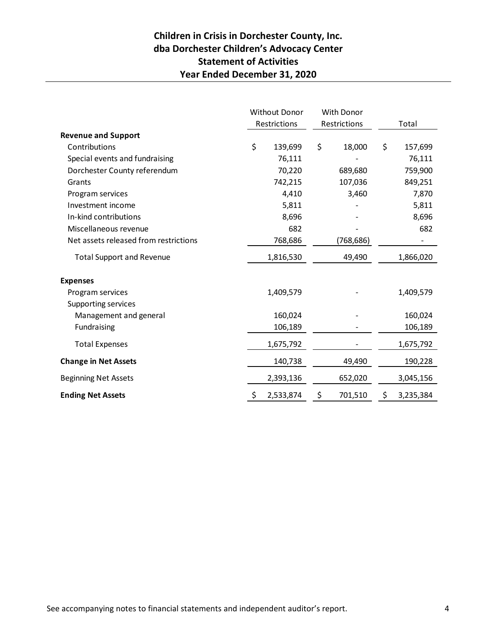# **Children in Crisis in Dorchester County, Inc. dba Dorchester Children's Advocacy Center Statement of Activities Year Ended December 31, 2020**

|                                       | <b>Without Donor</b><br>Restrictions | With Donor<br>Restrictions | Total           |
|---------------------------------------|--------------------------------------|----------------------------|-----------------|
| <b>Revenue and Support</b>            |                                      |                            |                 |
| Contributions                         | \$<br>139,699                        | \$<br>18,000               | \$<br>157,699   |
| Special events and fundraising        | 76,111                               |                            | 76,111          |
| Dorchester County referendum          | 70,220                               | 689,680                    | 759,900         |
| Grants                                | 742,215                              | 107,036                    | 849,251         |
| Program services                      | 4,410                                | 3,460                      | 7,870           |
| Investment income                     | 5,811                                |                            | 5,811           |
| In-kind contributions                 | 8,696                                |                            | 8,696           |
| Miscellaneous revenue                 | 682                                  |                            | 682             |
| Net assets released from restrictions | 768,686                              | (768, 686)                 |                 |
| <b>Total Support and Revenue</b>      | 1,816,530                            | 49,490                     | 1,866,020       |
| <b>Expenses</b>                       |                                      |                            |                 |
| Program services                      | 1,409,579                            |                            | 1,409,579       |
| Supporting services                   |                                      |                            |                 |
| Management and general                | 160,024                              |                            | 160,024         |
| Fundraising                           | 106,189                              |                            | 106,189         |
| <b>Total Expenses</b>                 | 1,675,792                            |                            | 1,675,792       |
| <b>Change in Net Assets</b>           | 140,738                              | 49,490                     | 190,228         |
| <b>Beginning Net Assets</b>           | 2,393,136                            | 652,020                    | 3,045,156       |
| <b>Ending Net Assets</b>              | \$<br>2,533,874                      | \$<br>701,510              | \$<br>3,235,384 |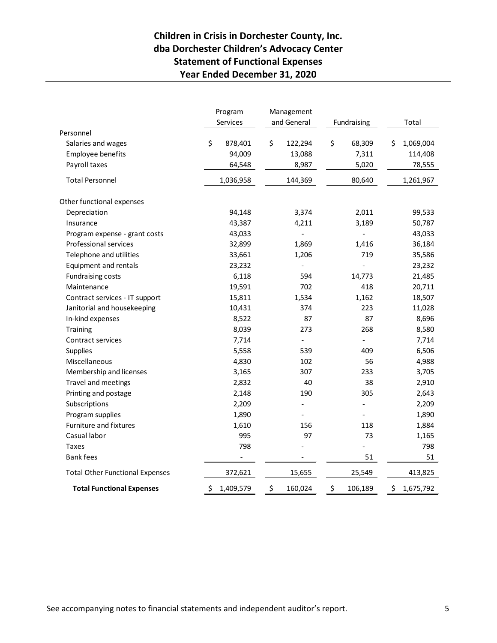# **Children in Crisis in Dorchester County, Inc. dba Dorchester Children's Advocacy Center Statement of Functional Expenses Year Ended December 31, 2020**

|                                        | Program         | Management               |                |                 |
|----------------------------------------|-----------------|--------------------------|----------------|-----------------|
|                                        | Services        | and General              | Fundraising    | Total           |
| Personnel                              |                 |                          |                |                 |
| Salaries and wages                     | \$<br>878,401   | \$<br>122,294            | \$<br>68,309   | \$<br>1,069,004 |
| Employee benefits                      | 94,009          | 13,088                   | 7,311          | 114,408         |
| Payroll taxes                          | 64,548          | 8,987                    | 5,020          | 78,555          |
| <b>Total Personnel</b>                 | 1,036,958       | 144,369                  | 80,640         | 1,261,967       |
| Other functional expenses              |                 |                          |                |                 |
| Depreciation                           | 94,148          | 3,374                    | 2,011          | 99,533          |
| Insurance                              | 43,387          | 4,211                    | 3,189          | 50,787          |
| Program expense - grant costs          | 43,033          | $\overline{a}$           | $\frac{1}{2}$  | 43,033          |
| Professional services                  | 32,899          | 1,869                    | 1,416          | 36,184          |
| Telephone and utilities                | 33,661          | 1,206                    | 719            | 35,586          |
| <b>Equipment and rentals</b>           | 23,232          | $\overline{\phantom{a}}$ |                | 23,232          |
| <b>Fundraising costs</b>               | 6,118           | 594                      | 14,773         | 21,485          |
| Maintenance                            | 19,591          | 702                      | 418            | 20,711          |
| Contract services - IT support         | 15,811          | 1,534                    | 1,162          | 18,507          |
| Janitorial and housekeeping            | 10,431          | 374                      | 223            | 11,028          |
| In-kind expenses                       | 8,522           | 87                       | 87             | 8,696           |
| Training                               | 8,039           | 273                      | 268            | 8,580           |
| Contract services                      | 7,714           | -                        | $\blacksquare$ | 7,714           |
| Supplies                               | 5,558           | 539                      | 409            | 6,506           |
| Miscellaneous                          | 4,830           | 102                      | 56             | 4,988           |
| Membership and licenses                | 3,165           | 307                      | 233            | 3,705           |
| <b>Travel and meetings</b>             | 2,832           | 40                       | 38             | 2,910           |
| Printing and postage                   | 2,148           | 190                      | 305            | 2,643           |
| Subscriptions                          | 2,209           |                          |                | 2,209           |
| Program supplies                       | 1,890           |                          |                | 1,890           |
| <b>Furniture and fixtures</b>          | 1,610           | 156                      | 118            | 1,884           |
| Casual labor                           | 995             | 97                       | 73             | 1,165           |
| Taxes                                  | 798             |                          |                | 798             |
| <b>Bank fees</b>                       |                 |                          | 51             | 51              |
| <b>Total Other Functional Expenses</b> | 372,621         | 15,655                   | 25,549         | 413,825         |
| <b>Total Functional Expenses</b>       | \$<br>1,409,579 | \$<br>160,024            | \$<br>106,189  | \$<br>1,675,792 |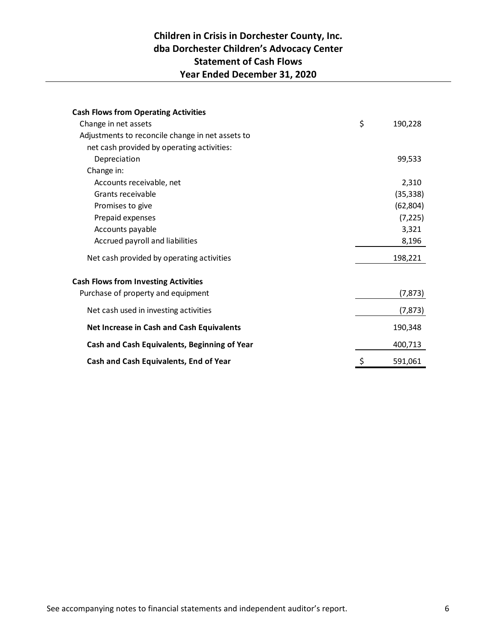| <b>Cash Flows from Operating Activities</b>      |               |
|--------------------------------------------------|---------------|
| Change in net assets                             | \$<br>190,228 |
| Adjustments to reconcile change in net assets to |               |
| net cash provided by operating activities:       |               |
| Depreciation                                     | 99,533        |
| Change in:                                       |               |
| Accounts receivable, net                         | 2,310         |
| Grants receivable                                | (35, 338)     |
| Promises to give                                 | (62, 804)     |
| Prepaid expenses                                 | (7, 225)      |
| Accounts payable                                 | 3,321         |
| Accrued payroll and liabilities                  | 8,196         |
| Net cash provided by operating activities        | 198,221       |
| <b>Cash Flows from Investing Activities</b>      |               |
| Purchase of property and equipment               | (7, 873)      |
| Net cash used in investing activities            | (7, 873)      |
| <b>Net Increase in Cash and Cash Equivalents</b> | 190,348       |
| Cash and Cash Equivalents, Beginning of Year     | 400,713       |
| Cash and Cash Equivalents, End of Year           | \$<br>591,061 |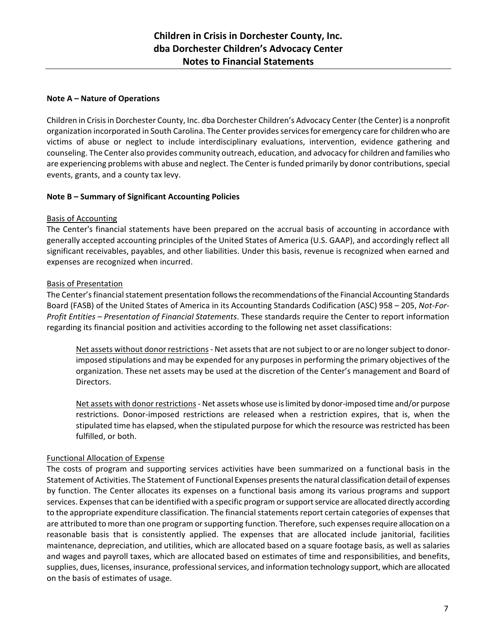#### **Note A – Nature of Operations**

Children in Crisis in Dorchester County, Inc. dba Dorchester Children's Advocacy Center (the Center) is a nonprofit organization incorporated in South Carolina. The Center provides services for emergency care for children who are victims of abuse or neglect to include interdisciplinary evaluations, intervention, evidence gathering and counseling. The Center also provides community outreach, education, and advocacy for children and families who are experiencing problems with abuse and neglect. The Center is funded primarily by donor contributions, special events, grants, and a county tax levy.

#### **Note B – Summary of Significant Accounting Policies**

#### Basis of Accounting

The Center's financial statements have been prepared on the accrual basis of accounting in accordance with generally accepted accounting principles of the United States of America (U.S. GAAP), and accordingly reflect all significant receivables, payables, and other liabilities. Under this basis, revenue is recognized when earned and expenses are recognized when incurred.

#### Basis of Presentation

The Center's financial statement presentation follows the recommendations of the Financial Accounting Standards Board (FASB) of the United States of America in its Accounting Standards Codification (ASC) 958 – 205, *Not-For-Profit Entities – Presentation of Financial Statements*. These standards require the Center to report information regarding its financial position and activities according to the following net asset classifications:

Net assets without donor restrictions- Net assets that are not subject to or are no longer subject to donorimposed stipulations and may be expended for any purposes in performing the primary objectives of the organization. These net assets may be used at the discretion of the Center's management and Board of Directors.

Net assets with donor restrictions- Net assets whose use is limited by donor-imposed time and/or purpose restrictions. Donor-imposed restrictions are released when a restriction expires, that is, when the stipulated time has elapsed, when the stipulated purpose for which the resource was restricted has been fulfilled, or both.

# Functional Allocation of Expense

The costs of program and supporting services activities have been summarized on a functional basis in the Statement of Activities. The Statement of Functional Expenses presents the natural classification detail of expenses by function. The Center allocates its expenses on a functional basis among its various programs and support services. Expenses that can be identified with a specific program or support service are allocated directly according to the appropriate expenditure classification. The financial statements report certain categories of expenses that are attributed to more than one program or supporting function. Therefore, such expenses require allocation on a reasonable basis that is consistently applied. The expenses that are allocated include janitorial, facilities maintenance, depreciation, and utilities, which are allocated based on a square footage basis, as well as salaries and wages and payroll taxes, which are allocated based on estimates of time and responsibilities, and benefits, supplies, dues, licenses, insurance, professional services, and information technology support, which are allocated on the basis of estimates of usage.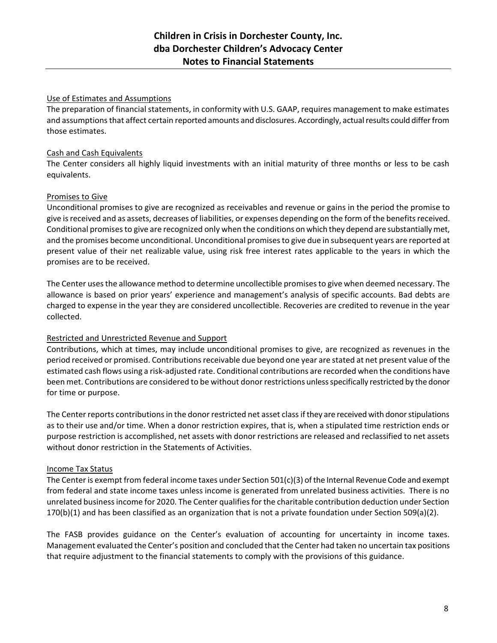#### Use of Estimates and Assumptions

The preparation of financial statements, in conformity with U.S. GAAP, requires management to make estimates and assumptions that affect certain reported amounts and disclosures. Accordingly, actual results could differ from those estimates.

#### Cash and Cash Equivalents

The Center considers all highly liquid investments with an initial maturity of three months or less to be cash equivalents.

#### Promises to Give

Unconditional promises to give are recognized as receivables and revenue or gains in the period the promise to give is received and as assets, decreases of liabilities, or expenses depending on the form of the benefits received. Conditional promises to give are recognized only when the conditions on which they depend are substantially met, and the promises become unconditional. Unconditional promises to give due in subsequent years are reported at present value of their net realizable value, using risk free interest rates applicable to the years in which the promises are to be received.

The Center uses the allowance method to determine uncollectible promises to give when deemed necessary. The allowance is based on prior years' experience and management's analysis of specific accounts. Bad debts are charged to expense in the year they are considered uncollectible. Recoveries are credited to revenue in the year collected.

# Restricted and Unrestricted Revenue and Support

Contributions, which at times, may include unconditional promises to give, are recognized as revenues in the period received or promised. Contributions receivable due beyond one year are stated at net present value of the estimated cash flows using a risk-adjusted rate. Conditional contributions are recorded when the conditions have been met. Contributions are considered to be without donor restrictions unless specifically restricted by the donor for time or purpose.

The Center reports contributions in the donor restricted net asset class if they are received with donor stipulations as to their use and/or time. When a donor restriction expires, that is, when a stipulated time restriction ends or purpose restriction is accomplished, net assets with donor restrictions are released and reclassified to net assets without donor restriction in the Statements of Activities.

# Income Tax Status

The Center is exempt from federal income taxes under Section 501(c)(3) of the Internal Revenue Code and exempt from federal and state income taxes unless income is generated from unrelated business activities. There is no unrelated business income for 2020. The Center qualifies for the charitable contribution deduction under Section 170(b)(1) and has been classified as an organization that is not a private foundation under Section 509(a)(2).

The FASB provides guidance on the Center's evaluation of accounting for uncertainty in income taxes. Management evaluated the Center's position and concluded that the Center had taken no uncertain tax positions that require adjustment to the financial statements to comply with the provisions of this guidance.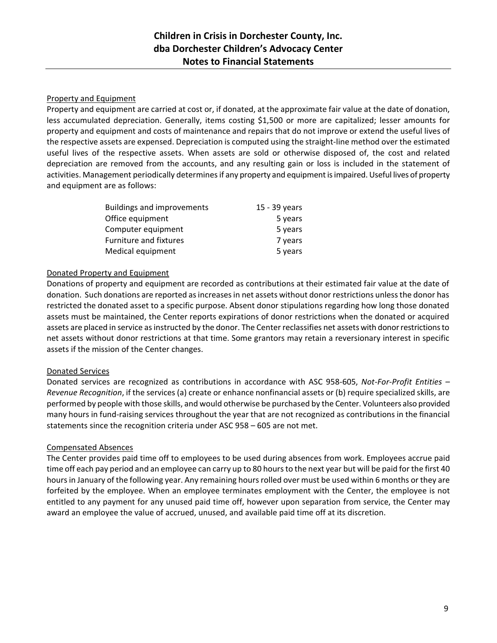# Property and Equipment

Property and equipment are carried at cost or, if donated, at the approximate fair value at the date of donation, less accumulated depreciation. Generally, items costing \$1,500 or more are capitalized; lesser amounts for property and equipment and costs of maintenance and repairs that do not improve or extend the useful lives of the respective assets are expensed. Depreciation is computed using the straight-line method over the estimated useful lives of the respective assets. When assets are sold or otherwise disposed of, the cost and related depreciation are removed from the accounts, and any resulting gain or loss is included in the statement of activities. Management periodically determines if any property and equipment is impaired. Useful lives of property and equipment are as follows:

| <b>Buildings and improvements</b> | 15 - 39 years |
|-----------------------------------|---------------|
| Office equipment                  | 5 years       |
| Computer equipment                | 5 years       |
| Furniture and fixtures            | 7 years       |
| Medical equipment                 | 5 years       |

# Donated Property and Equipment

Donations of property and equipment are recorded as contributions at their estimated fair value at the date of donation. Such donations are reported as increases in net assets without donor restrictions unless the donor has restricted the donated asset to a specific purpose. Absent donor stipulations regarding how long those donated assets must be maintained, the Center reports expirations of donor restrictions when the donated or acquired assets are placed in service as instructed by the donor. The Center reclassifies net assets with donor restrictionsto net assets without donor restrictions at that time. Some grantors may retain a reversionary interest in specific assets if the mission of the Center changes.

# Donated Services

Donated services are recognized as contributions in accordance with ASC 958-605, *Not-For-Profit Entities – Revenue Recognition*, if the services (a) create or enhance nonfinancial assets or (b) require specialized skills, are performed by people with those skills, and would otherwise be purchased by the Center. Volunteers also provided many hours in fund-raising services throughout the year that are not recognized as contributions in the financial statements since the recognition criteria under ASC 958 – 605 are not met.

# Compensated Absences

The Center provides paid time off to employees to be used during absences from work. Employees accrue paid time off each pay period and an employee can carry up to 80 hours to the next year but will be paid for the first 40 hours in January of the following year. Any remaining hours rolled over must be used within 6 months or they are forfeited by the employee. When an employee terminates employment with the Center, the employee is not entitled to any payment for any unused paid time off, however upon separation from service, the Center may award an employee the value of accrued, unused, and available paid time off at its discretion.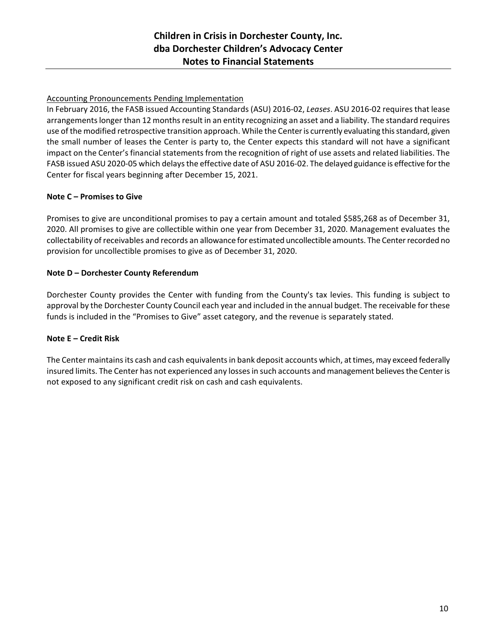# Accounting Pronouncements Pending Implementation

In February 2016, the FASB issued Accounting Standards (ASU) 2016-02, *Leases*. ASU 2016-02 requires that lease arrangements longer than 12 months result in an entity recognizing an asset and a liability. The standard requires use of the modified retrospective transition approach. While the Center is currently evaluating this standard, given the small number of leases the Center is party to, the Center expects this standard will not have a significant impact on the Center's financial statements from the recognition of right of use assets and related liabilities. The FASB issued ASU 2020-05 which delays the effective date of ASU 2016-02. The delayed guidance is effective for the Center for fiscal years beginning after December 15, 2021.

# **Note C – Promises to Give**

Promises to give are unconditional promises to pay a certain amount and totaled \$585,268 as of December 31, 2020. All promises to give are collectible within one year from December 31, 2020. Management evaluates the collectability of receivables and records an allowance for estimated uncollectible amounts. The Centerrecorded no provision for uncollectible promises to give as of December 31, 2020.

# **Note D – Dorchester County Referendum**

Dorchester County provides the Center with funding from the County's tax levies. This funding is subject to approval by the Dorchester County Council each year and included in the annual budget. The receivable for these funds is included in the "Promises to Give" asset category, and the revenue is separately stated.

# **Note E – Credit Risk**

The Center maintains its cash and cash equivalents in bank deposit accounts which, at times, may exceed federally insured limits. The Center has not experienced any losses in such accounts and management believes the Center is not exposed to any significant credit risk on cash and cash equivalents.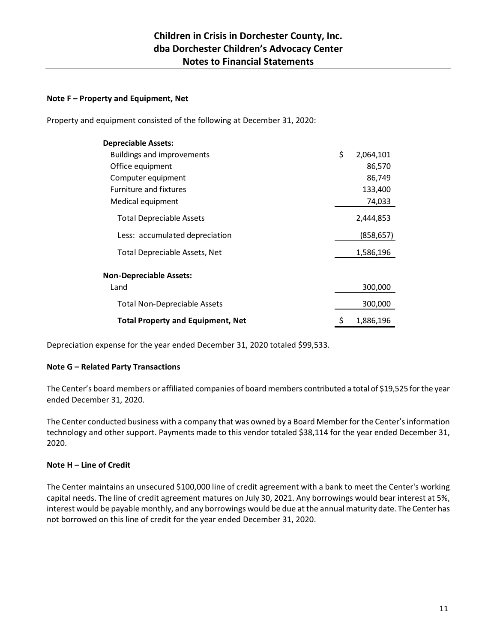#### **Note F – Property and Equipment, Net**

Property and equipment consisted of the following at December 31, 2020:

| <b>Depreciable Assets:</b>               |                 |
|------------------------------------------|-----------------|
| <b>Buildings and improvements</b>        | \$<br>2,064,101 |
| Office equipment                         | 86,570          |
| Computer equipment                       | 86,749          |
| <b>Furniture and fixtures</b>            | 133,400         |
| Medical equipment                        | 74,033          |
| <b>Total Depreciable Assets</b>          | 2,444,853       |
| Less: accumulated depreciation           | (858, 657)      |
| Total Depreciable Assets, Net            | 1,586,196       |
| <b>Non-Depreciable Assets:</b>           |                 |
| Land                                     | 300,000         |
| <b>Total Non-Depreciable Assets</b>      | 300,000         |
| <b>Total Property and Equipment, Net</b> | \$<br>1,886,196 |

Depreciation expense for the year ended December 31, 2020 totaled \$99,533.

#### **Note G – Related Party Transactions**

The Center's board members or affiliated companies of board members contributed a total of \$19,525 for the year ended December 31, 2020.

The Center conducted business with a company that was owned by a Board Member for the Center's information technology and other support. Payments made to this vendor totaled \$38,114 for the year ended December 31, 2020.

#### **Note H – Line of Credit**

The Center maintains an unsecured \$100,000 line of credit agreement with a bank to meet the Center's working capital needs. The line of credit agreement matures on July 30, 2021. Any borrowings would bear interest at 5%, interest would be payable monthly, and any borrowings would be due at the annual maturity date. The Center has not borrowed on this line of credit for the year ended December 31, 2020.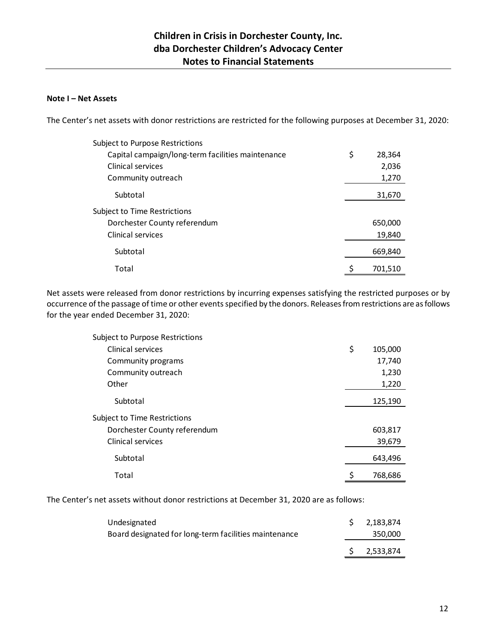#### **Note I – Net Assets**

The Center's net assets with donor restrictions are restricted for the following purposes at December 31, 2020:

| Subject to Purpose Restrictions                   |              |
|---------------------------------------------------|--------------|
| Capital campaign/long-term facilities maintenance | \$<br>28,364 |
| Clinical services                                 | 2,036        |
| Community outreach                                | 1,270        |
| Subtotal                                          | 31,670       |
| Subject to Time Restrictions                      |              |
| Dorchester County referendum                      | 650,000      |
| Clinical services                                 | 19,840       |
| Subtotal                                          | 669,840      |
| Total                                             | 701,510      |

Net assets were released from donor restrictions by incurring expenses satisfying the restricted purposes or by occurrence of the passage of time or other events specified by the donors. Releases from restrictions are as follows for the year ended December 31, 2020:

| Subject to Purpose Restrictions |               |
|---------------------------------|---------------|
| Clinical services               | \$<br>105,000 |
| Community programs              | 17,740        |
| Community outreach              | 1,230         |
| Other                           | 1,220         |
| Subtotal                        | 125,190       |
| Subject to Time Restrictions    |               |
| Dorchester County referendum    | 603,817       |
| <b>Clinical services</b>        | 39,679        |
| Subtotal                        | 643,496       |
| Total                           | \$<br>768.686 |

The Center's net assets without donor restrictions at December 31, 2020 are as follows:

| Undesignated                                          | \$2,183,874 |
|-------------------------------------------------------|-------------|
| Board designated for long-term facilities maintenance | 350,000     |
|                                                       | \$2,533,874 |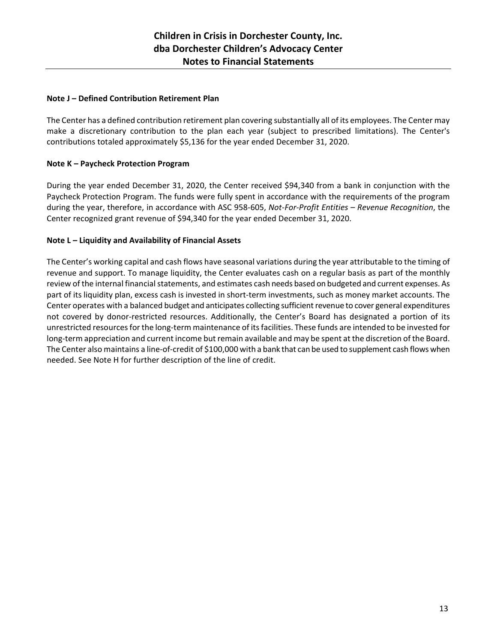#### **Note J – Defined Contribution Retirement Plan**

The Center has a defined contribution retirement plan covering substantially all of its employees. The Center may make a discretionary contribution to the plan each year (subject to prescribed limitations). The Center's contributions totaled approximately \$5,136 for the year ended December 31, 2020.

#### **Note K – Paycheck Protection Program**

During the year ended December 31, 2020, the Center received \$94,340 from a bank in conjunction with the Paycheck Protection Program. The funds were fully spent in accordance with the requirements of the program during the year, therefore, in accordance with ASC 958-605, *Not-For-Profit Entities – Revenue Recognition*, the Center recognized grant revenue of \$94,340 for the year ended December 31, 2020.

#### **Note L – Liquidity and Availability of Financial Assets**

The Center's working capital and cash flows have seasonal variations during the year attributable to the timing of revenue and support. To manage liquidity, the Center evaluates cash on a regular basis as part of the monthly review of the internal financial statements, and estimates cash needs based on budgeted and current expenses. As part of its liquidity plan, excess cash is invested in short-term investments, such as money market accounts. The Center operates with a balanced budget and anticipates collecting sufficient revenue to cover general expenditures not covered by donor-restricted resources. Additionally, the Center's Board has designated a portion of its unrestricted resources for the long-term maintenance of its facilities. These funds are intended to be invested for long-term appreciation and current income but remain available and may be spent at the discretion of the Board. The Center also maintains a line-of-credit of \$100,000 with a bank that can be used to supplement cash flows when needed. See Note H for further description of the line of credit.